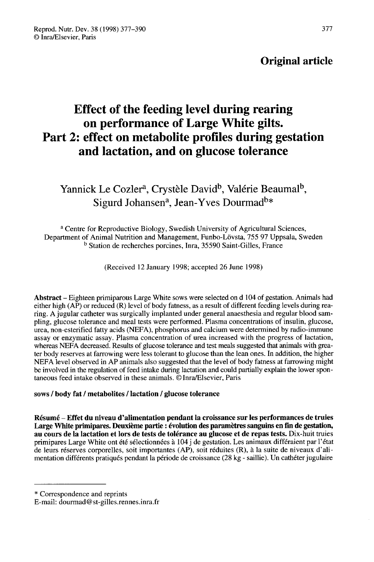## Original article

# Effect of the feeding level during rearing on performance of Large White gilts. Part 2: effect on metabolite profiles during gestation and lactation, and on glucose tolerance

## Yannick Le Cozler<sup>a</sup>, Crystèle David<sup>b</sup>, Valérie Beaumal<sup>b</sup>, Sigurd Johansen<sup>a</sup>, Jean-Yves Dourmad<sup>b\*</sup>

<sup>a</sup> Centre for Reproductive Biology, Swedish University of Agricultural Sciences, Department of Animal Nutrition and Management, Funbo-L6vsta, 755 97 Uppsala, Sweden <sup>b</sup> Station de recherches porcines, Inra, 35590 Saint-Gilles, France

(Received 12 January 1998; accepted 26 June 1998)

Abstract - Eighteen primiparous Large White sows were selected on d 104 of gestation. Animals had either high (AP) or reduced (R) level of body fatness, as a result of different feeding levels during rearing. A jugular catheter was surgically implanted under general anaesthesia and regular blood sampling, glucose tolerance and meal tests were performed. Plasma concentrations of insulin, glucose, urea, non-esterified fatty acids (NEFA), phosphorus and calcium were determined by radio-immune assay or enzymatic assay. Plasma concentration of urea increased with the progress of lactation, whereas NEFA decreased. Results of glucose tolerance and test meals suggested that animals with greater body reserves at farrowing were less tolerant to glucose than the lean ones. In addition, the higher NEFA level observed in AP animals also suggested that the level of body fatness at farrowing might be involved in the regulation of feed intake during lactation and could partially explain the lower spontaneous feed intake observed in these animals. © Inra/Elsevier, Paris

## sows / body fat / metabolites / lactation / glucose tolerance

Résumé - Effet du niveau d'alimentation pendant la croissance sur les performances de truies Large White primipares. Deuxième partie : évolution des paramètres sanguins en fin de gestation, au cours de la lactation et lors de tests de tolérance au glucose et de repas tests. Dix-huit truies primipares Large White ont été sélectionnées à 104 j de gestation. Les animaux différaient par l'état de leurs réserves corporelles, soit importantes (AP), soit réduites (R), à la suite de niveaux d'alimentation différents pratiqués pendant la période de croissance (28 kg - saillie). Un cathéter jugulaire

<sup>\*</sup> Correspondence and reprints

 $E$ -mail: dourmad@st-gilles.rennes.inra.fr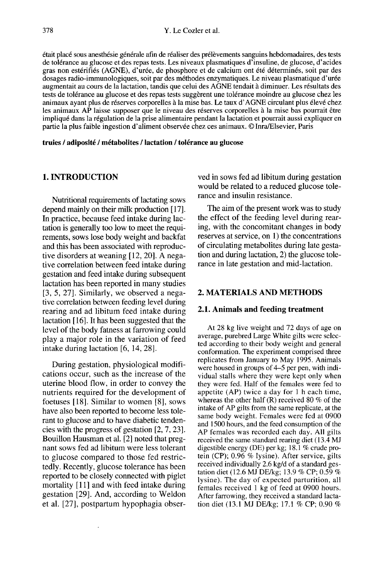était placé sous anesthésie générale afin de réaliser des prélèvements sanguins hebdomadaires, des tests de tolérance au glucose et des repas tests. Les niveaux plasmatiques d'insuline, de glucose, d'acides gras non estérifiés (AGNE), d'urée, de phosphore et de calcium ont été déterminés, soit par des dosages radio-immunologiques, soit par des méthodes enzymatiques. Le niveau plasmatique d'urée augmentait au cours de la lactation, tandis que celui des AGNE tendait à diminuer. Les résultats des tests de tolérance au glucose et des repas tests suggèrent une tolérance moindre au glucose chez les animaux ayant plus de réserves corporelles à la mise bas. Le taux d'AGNE circulant plus élevé chez les animaux AP laisse supposer que le niveau des réserves corporelles à la mise bas pourrait être impliqué dans la régulation de la prise alimentaire pendant la lactation et pourrait aussi expliquer en partie la plus faible ingestion d'aliment observée chez ces animaux. © Inra/Elsevier, Paris

truies / adiposité / métabolites / lactation / tolérance au glucose

## 1. INTRODUCTION

Nutritional requirements of lactating sows depend mainly on their milk production [17]. In practice, because feed intake during lactation is generally too low to meet the requirements, sows lose body weight and backfat and this has been associated with reproductive disorders at weaning [12, 20]. A negative correlation between feed intake during gestation and feed intake during subsequent lactation has been reported in many studies [3, 5, 27]. Similarly, we observed a negative correlation between feeding level during rearing and ad libitum feed intake during lactation [16]. It has been suggested that the level of the body fatness at farrowing could play a major role in the variation of feed intake during lactation [6, 14, 28].

During gestation, physiological modifications occur, such as the increase of the uterine blood flow, in order to convey the nutrients required for the development of foetuses [18]. Similar to women [8], sows have also been reported to become less tolerant to glucose and to have diabetic tendencies with the progress of gestation [2, 7, 23]. Bouillon Hausman et al. [2] noted that pregnant sows fed ad libitum were less tolerant to glucose compared to those fed restrictedly. Recently, glucose tolerance has been reported to be closely connected with piglet mortality [11] and with feed intake during gestation [29]. And, according to Weldon et al. [27], postpartum hypophagia observed in sows fed ad libitum during gestation would be related to a reduced glucose tolerance and insulin resistance.

The aim of the present work was to study the effect of the feeding level during rearing, with the concomitant changes in body reserves at service, on 1) the concentrations of circulating metabolites during late gestation and during lactation, 2) the glucose tolerance in late gestation and mid-lactation.

#### 2. MATERIALS AND METHODS

#### 2.1. Animals and feeding treatment

At 28 kg live weight and 72 days of age on average, purebred Large White gilts were selected according to their body weight and general conformation. The experiment comprised three replicates from January to May 1995. Animals were housed in groups of 4-5 per pen, with individual stalls where they were kept only when they were fed. Half of the females were fed to appetite (AP) twice a day for 1 h each time, whereas the other half (R) received 80 % of the intake of AP gilts from the same replicate, at the same body weight. Females were fed at 0900 and 1500 hours, and the feed consumption of the AP females was recorded each day. All gilts received the same standard rearing diet (13.4 MJ digestible energy (DE) per kg; 18.1 % crude protein (CP); 0.96 % lysine). After service, gilts received individually 2.6 kg/d of a standard gestation diet (12.6 MJ DE/kg; 13.9 % CP; 0.59 % lysine). The day of expected parturition, all females received 1 kg of feed at 0900 hours. After farrowing, they received a standard lactation diet (13.1 MJ DE/kg; 17.1 % CP; 0.90 %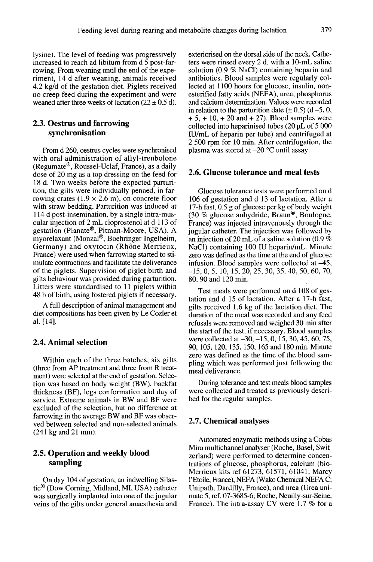lysine). The level of feeding was progressively increased to reach ad libitum from d 5 post-farrowing. From weaning until the end of the experiment, 14 d after weaning, animals received 4.2 kg/d of the gestation diet. Piglets received no creep feed during the experiment and were weaned after three weeks of lactation ( $22 \pm 0.5$  d).

## 2.3. Oestrus and farrowing synchronisation

From d 260, oestrus cycles were synchronised with oral administration of allyl-trenbolone **2.3. Oestrus and farrowing**<br>
synchronisation<br>
From d 260, oestrus cycles were synchronised<br>
with oral administration of allyl-trenbolone<br>
(Regumate®, Roussel-Uclaf, France), as a daily<br>
dose of 20 mg as a top dressing on dose of 20 mg as a top dressing on the feed for 18 d. Two weeks before the expected parturition, the gilts were individually penned, in farrowing crates  $(1.9 \times 2.6 \text{ m})$ , on concrete floor with straw bedding. Parturition was induced at 114 d post-insemination, by a single intra-muscular injection of 2 mL cloprostenol at d 113 of Frame, we give  $\alpha$  real weaks (1.9 × 2.6 m), on concrete floor wing crates (1.9 × 2.6 m), on concrete floor with straw bedding. Parturition was induced at 114 d post-insemination, by a single intra-muscular injection of with straw bedding. Parturition was induced at<br>114 d post-insemination, by a single intra-mus-<br>cular injection of 2 mL cloprostenol at d 113 of<br>gestation (Planate®, Pitman-Moore, USA). A<br>myorelaxant (Monzal®, Boehringer In Germany) and oxytocin (Rhône Merrieux, France) were used when farrowing started to stimulate contractions and facilitate the deliverance of the piglets. Supervision of piglet birth and gilts behaviour was provided during parturition. Litters were standardised to 11 piglets within 48 h of birth, using fostered piglets if necessary.

A full description of animal management and diet compositions has been given by Le Cozler et al. [14].

#### 2.4. Animal selection

Within each of the three batches, six gilts (three from AP treatment and three from R treatment) were selected at the end of gestation. Selection was based on body weight (BW), backfat thickness (BF), legs conformation and day of service. Extreme animals in BW and BF were excluded of the selection, but no difference at farrowing in the average BW and BF was observed between selected and non-selected animals (241 kg and 21 mm).

## 2.5. Operation and weekly blood sampling

On day 104 of gestation, an indwelling Silastic<sup>®</sup> (Dow Corning, Midland, MI, USA) catheter was surgically implanted into one of the jugular veins of the gilts under general anaesthesia and exteriorised on the dorsal side of the neck. Catheters were rinsed every 2 d, with a 10-mL saline solution  $(0.9 \%$  NaCl) containing heparin and antibiotics. Blood samples were regularly collected at 1100 hours for glucose, insulin, nonesterified fatty acids (NEFA), urea, phosphorus and calcium determination. Values were recorded in relation to the parturition date  $(\pm 0.5)$   $(d-5, 0, +5, +10, +20$  and  $+ 27)$ . Blood samples were collected into heparinised tubes (20 pL of 5 000 IU/mL of heparin per tube) and centrifuged at 2 500 rpm for 10 min. After centrifugation, the plasma was stored at  $-20$  °C until assay.

#### 2.6. Glucose tolerance and meal tests

Glucose tolerance tests were performed on d 106 of gestation and d 13 of lactation. After a 17-h fast, 0.5 g of glucose per kg of body weight (30 % glucose anhydride, Braun®, Boulogne, Glucose tolerance tests were performed on d<br>106 of gestation and d 13 of lactation. After a<br>17-h fast, 0.5 g of glucose per kg of body weight<br>(30 % glucose anhydride, Braun<sup>®</sup>, Boulogne,<br>France) was injected intravenously France) was injected intravenously through the jugular catheter. The injection was followed by an injection of 20 mL of a saline solution (0.9 %) NaCI) containing 100 IU heparin/mL. Minute zero was defined as the time at the end of glucose infusion. Blood samples were collected at  $-45$ ,  $i-15, 0, 5, 10, 15, 20, 25, 30, 35, 40, 50, 60, 70,$ 80, 90 and 120 min.

Test meals were performed on d 108 of gestation and d 15 of lactation. After a 17-h fast, gilts received 1.6 kg of the lactation diet. The duration of the meal was recorded and any feed refusals were removed and weighed 30 min after the start of the test, if necessary. Blood samples were collected at -30, -15, 0, 15, 30, 45, 60, 75, 90, 105, 120, 135, 150, 165 and 180 min. Minute zero was defined as the time of the blood sampling which was performed just following the meal deliverance.

During tolerance and test meals blood samples were collected and treated as previously described for the regular samples.

#### 2.7. Chemical analyses

Automated enzymatic methods using a Cobas Mira multichannel analyser (Roche, Basel, Switzerland) were performed to determine concentrations of glucose, phosphorus, calcium (bio-Merrieux kits ref 61273, 61571, 61041; Marcy 1'Etoile, France), NEFA (Wako Chemical NEFA C; Unipath, Dardilly, France), and urea (Urea unimate 5, ref. 07-3685-6; Roche, Neuilly-sur-Seine, France). The intra-assay CV were 1.7 % for a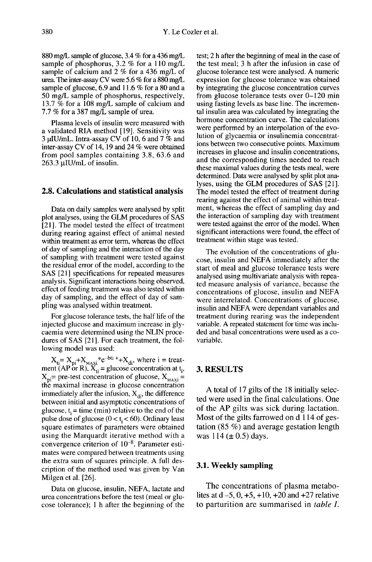880 mg/L sample of glucose, 3.4 % for a 436 mg/L sample of phosphorus, 3.2 % for a 110 mg/L sample of calcium and 2 % for a 436 mg/L of urea. The inter-assay CV were 5.6 % for a 880 mg/L sample of glucose, 6.9 and 11.6 % for a 80 and a 50 mg/L sample of phosphorus, respectively, 13.7 % for a 108 mg/L sample of calcium and 7.7 % for a 387 mg/L sample of urea.

Plasma levels of insulin were measured with a validated RIA method [19]. Sensitivity was 3 µIU/mL. Intra-assay CV of 10, 6 and 7  $%$  and inter-assay CV of 14, 19 and 24 % were obtained from pool samples containing 3.8, 63.6 and<br>263.3 µIU/mL of insulin.

#### 2.8. Calculations and statistical analysis

Data on daily samples were analysed by split plot analyses, using the GLM procedures of SAS [21]. The model tested the effect of treatment during rearing against effect of animal nested within treatment as error term, whereas the effect of day of sampling and the interaction of the day of sampling with treatment were tested against the residual error of the model, according to the SAS [21] specifications for repeated measures analysis. Significant interactions being observed, effect of feeding treatment was also tested within day of sampling, and the effect of day of sampling was analysed within treatment.

For glucose tolerance tests, the half life of the injected glucose and maximum increase in glycaemia were determined using the NLIN procedures of SAS [21]. For each treatment, the following model was used:

 $A_{\text{H}} = A_{\text{p1}} + A_{\text{MAX}1}$  is  $B = A_{\text{data}} + A_{\text{data}}$ , where  $I = \text{mean}$ <br>  $X_{\text{p1}} = \text{pre-test}$  concentration of glucose,  $X_{\text{MAX}1} = \text{the maximal increase in glucose concentration}$ the maximal increase in glucose concentration immediately after the infusion,  $X_{di}$ , the difference between initial and asymptotic concentrations of glucose,  $t_i$  = time (min) relative to the end of the pulse dose of glucose  $(0 < t<sub>i</sub> < 60)$ . Ordinary least square estimates of parameters were obtained square estimates of parameters were columned<br>using the Marquardt iterative method with a<br>convergence criterion of  $10^{-8}$ . Parameter estimates were compared between treatments using the extra sum of squares principle. A full description of the method used was given by Van Milgen et al. [26].

Data on glucose, insulin, NEFA, lactate and urea concentrations before the test (meal or glu cose tolerance); 1 h after the beginning of the test; 2 h after the beginning of meal in the case of the test meal; 3 h after the infusion in case of glucose tolerance test were analysed. A numeric expression for glucose tolerance was obtained by integrating the glucose concentration curves from glucose tolerance tests over 0-120 min using fasting levels as base line. The incremental insulin area was calculated by integrating the hormone concentration curve. The calculations were performed by an interpolation of the evolution of glycaemia or insulinemia concentrations between two consecutive points. Maximum increases in glucose and insulin concentrations, and the corresponding times needed to reach these maximal values during the tests meal, were determined. Data were analysed by split plot analyses, using the GLM procedures of SAS [21]. The model tested the effect of treatment during rearing against the effect of animal within treatment, whereas the effect of sampling day and the interaction of sampling day with treatment were tested against the error of the model. When significant interactions were found, the effect of treatment within stage was tested.

The evolution of the concentrations of glu- cose, insulin and NEFA immediately after the start of meal and glucose tolerance tests were analysed using multivariate analysis with repeated measure analysis of variance, because the concentrations of glucose, insulin and NEFA were interrelated. Concentrations of glucose, insulin and NEFA were dependant variables and treatment during rearing was the independent variable. A repeated statement for time was included and basal concentrations were used as a covariable.

#### 3. RESULTS

A total of 17 gilts of the 18 initially selected were used in the final calculations. One of the AP gilts was sick during lactation. Most of the gilts farrowed on d 114 of gestation (85 %) and average gestation length was  $114 (\pm 0.5)$  days.

#### 3.1. Weekly sampling

The concentrations of plasma metabolites at  $d - 5$ , 0,  $+5$ ,  $+10$ ,  $+20$  and  $+27$  relative to parturition are summarised in table I.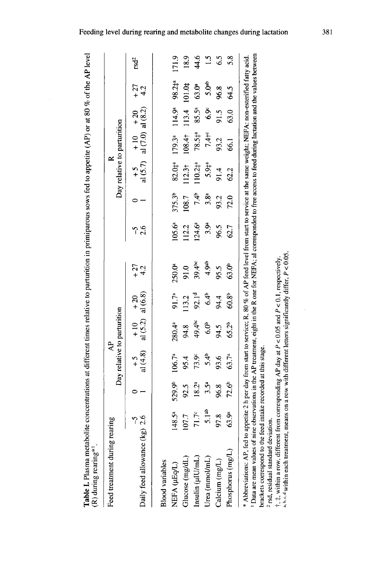Table I. Plasma metabolite concentrations at different times relative to parturition in primiparous sows fed to appetite (AP) or at 80 % of the AP level<br>(R) during rearing\*!

| D                                                                                                                                                                              |                   |                    |                             |                                |                   |                                                                                                                                                                                                                                                                                                    |                  |                    |                             |                                                |                    |                   |                  |
|--------------------------------------------------------------------------------------------------------------------------------------------------------------------------------|-------------------|--------------------|-----------------------------|--------------------------------|-------------------|----------------------------------------------------------------------------------------------------------------------------------------------------------------------------------------------------------------------------------------------------------------------------------------------------|------------------|--------------------|-----------------------------|------------------------------------------------|--------------------|-------------------|------------------|
| Feed treatment during rearing                                                                                                                                                  |                   |                    | $\mathsf{A}^{\mathsf{P}}$   |                                |                   |                                                                                                                                                                                                                                                                                                    |                  |                    | $\approx$                   |                                                |                    |                   |                  |
|                                                                                                                                                                                |                   |                    | Day relative to parturition |                                |                   |                                                                                                                                                                                                                                                                                                    |                  |                    | Day relative to parturition |                                                |                    |                   |                  |
| Daily feed allowance $(kg)$ 2.6                                                                                                                                                |                   |                    | $+5$<br>al (4.8) $\cdot$    | + 10 + 20<br>al (5.2) al (6.8) |                   | $^{+27}_{+4.2}$                                                                                                                                                                                                                                                                                    | -რ<br>2.6        |                    |                             | $+5$ $+10$ $+20$<br>al (5.7) al (7.0) al (8.2) |                    | $+27$<br>4.2      | rsd <sup>2</sup> |
| <b>Blood variables</b>                                                                                                                                                         |                   |                    |                             |                                |                   |                                                                                                                                                                                                                                                                                                    |                  |                    |                             |                                                |                    |                   |                  |
| NEFA (µEq/L)                                                                                                                                                                   | $148.5^{a}$       | 529.9 <sup>b</sup> | 106.7 <sup>a</sup>          | $280.4^{a}$                    | 91.7ª             | 250.0ª                                                                                                                                                                                                                                                                                             | $105.6^{a}$      | 375.3 <sup>b</sup> | 82.044                      | 179.3ª                                         | 114.9 <sup>a</sup> | 98.2‡ª            | 171.9            |
| Glucose (mg/dL)                                                                                                                                                                | 107.7             | 92.5               | 95.4                        | 94.8                           | 113.2             | 91.0                                                                                                                                                                                                                                                                                               | 112.2            | 108.7              | 112.3 <sup>†</sup>          | 108.4†                                         | 113.4 101.0#       |                   | 18.9             |
| Insulin $(\mu U/mL)$                                                                                                                                                           | $71.7^c$          | 18.2ª              | 73.9 <sup>c</sup>           | 49.4 <sup>bc</sup>             | 92.1 <sup>d</sup> | $39.4^{bc}$                                                                                                                                                                                                                                                                                        | 124.6ª           | 7.4 <sup>b</sup>   | $110.24^{a}$                | $78.54^{a}$                                    | $85.5^a$           | 63.0ª             | 44.6             |
| Urea (mmol/mL)                                                                                                                                                                 | 5.1 <sup>ab</sup> | $3.5^{\circ}$      | 5.4 <sub>b</sub>            | 6.0 <sup>b</sup>               | 6.4 <sup>b</sup>  | 4.9ab                                                                                                                                                                                                                                                                                              | 3.9 <sup>a</sup> | 3.8 <sup>a</sup>   | 5.94a                       | $7.4 + c$                                      | $6.9^{\circ}$      | 5.0 <sup>ab</sup> | $\ddot{5}$       |
| Calcium (mg/L)                                                                                                                                                                 | 97.8              | 96.8               | 93.6                        | 94.5                           | 94.4              | 95.5                                                                                                                                                                                                                                                                                               | 96.5             | 93.2               | 91.4                        | 93.2                                           | 91.5               | 96.8              | 6.5              |
| Phosphorus (mg/L)                                                                                                                                                              | 63.9ª             | 72.6 <sup>b</sup>  | 63.7 <sup>a</sup>           | 65.2b                          | 60.8 <sup>b</sup> | 63.0 <sup>b</sup>                                                                                                                                                                                                                                                                                  | 62.7             | 72.0               | 62.2                        | 661                                            | 63.0               | 64.5              | $\frac{8}{3}$    |
| brackets correspond to the feed intake recorded at this stage.<br>rsd, residual standard deviation.<br>* Abbreviations: AP, fed to<br><sup>1</sup> Data are mean values of nir |                   |                    |                             |                                |                   | ne observations in the AP treatment, eight in the R one for NEFA; al corresponded to free access to feed during lactation and the values between<br>appetite 2 h per day from start to service; R, 80% of AP feed level from start to service at the same weight; NEFA: non-esterified fatty acid. |                  |                    |                             |                                                |                    |                   |                  |
| $\dagger$ , $\dagger$ , within a row, different from corresponding AP day at P < 0.05 and P < 0.1, respectively.                                                               |                   |                    |                             |                                |                   |                                                                                                                                                                                                                                                                                                    |                  |                    |                             |                                                |                    |                   |                  |

a, b, c, d within each treatment, means on a row with different letters significantly differ, P < 0.05.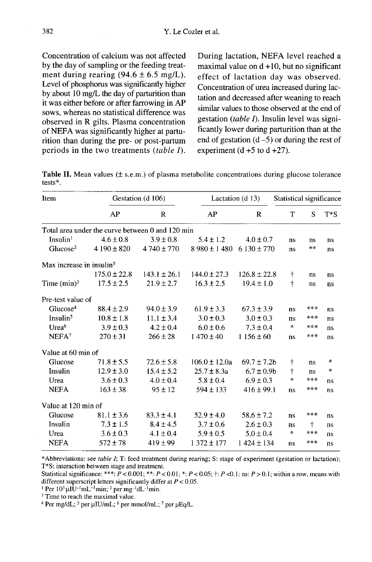Concentration of calcium was not affected by the day of sampling or the feeding treatment during rearing  $(94.6 \pm 6.5 \text{ mg/L})$ . Level of phosphorus was significantly higher by about 10 mg/L the day of parturition than it was either before or after farrowing in AP sows, whereas no statistical difference was observed in R gilts. Plasma concentration of NEFA was significantly higher at parturition than during the pre- or post-partum periods in the two treatments  $(table I)$ .

During lactation, NEFA level reached a maximal value on  $d+10$ , but no significant effect of lactation day was observed. Concentration of urea increased during lactation and decreased after weaning to reach similar values to those observed at the end of gestation *(table I)*. Insulin level was significantly lower during parturition than at the end of gestation  $(d-5)$  or during the rest of experiment  $(d + 5 to d + 27)$ .

Table II. Mean values (± s.e.m.) of plasma metabolite concentrations during glucose tolerance  $tests$ <sup>\*</sup>.

| Item                                 |                                                  | Gestation (d 106) |                   | Lactation (d 13) |            | Statistical significance |        |  |
|--------------------------------------|--------------------------------------------------|-------------------|-------------------|------------------|------------|--------------------------|--------|--|
|                                      | AP                                               | $\mathbb{R}$      | AP                | R                | T          | S                        | $T^*S$ |  |
|                                      | Total area under the curve between 0 and 120 min |                   |                   |                  |            |                          |        |  |
| Insulin <sup>1</sup>                 | $4.6 \pm 0.8$                                    | $3.9 \pm 0.8$     | $5.4 \pm 1.2$     | $4.0 \pm 0.7$    | ns         | ns                       | ns     |  |
| Glucose <sup>2</sup>                 | $4190 \pm 820$                                   | $4740 \pm 770$    | $8980 \pm 1480$   | $6130 \pm 770$   | ns         | $\ast$ $\ast$            | ns     |  |
| Max increase in insulin <sup>5</sup> |                                                  |                   |                   |                  |            |                          |        |  |
|                                      | $175.0 \pm 22.8$                                 | $143.1 \pm 26.1$  | $144.0 \pm 27.3$  | $126.8 \pm 22.8$ | Ť          | ns                       | ns     |  |
| Time $(min)^3$                       | $17.5 \pm 2.5$                                   | $21.9 \pm 2.7$    | $16.3 \pm 2.5$    | $19.4 \pm 1.0$   | t          | ns                       | ns     |  |
| Pre-test value of                    |                                                  |                   |                   |                  |            |                          |        |  |
| Glucose <sup>4</sup>                 | $88.4 \pm 2.9$                                   | $94.0 \pm 3.9$    | $61.9 \pm 3.3$    | $67.3 \pm 3.9$   | ns         | ***                      | ns     |  |
| Insulin <sup>5</sup>                 | $10.8 \pm 1.8$                                   | $11.1 \pm 3.4$    | $3.0 \pm 0.3$     | $3.0 \pm 0.3$    | ns         | ***                      | ns     |  |
| Urea <sup>6</sup>                    | $3.9 \pm 0.3$                                    | $4.2 \pm 0.4$     | $6.0 \pm 0.6$     | $7.3 \pm 0.4$    | *          | ***                      | ns     |  |
| NEFA <sup>7</sup>                    | $270 \pm 31$                                     | $266 \pm 28$      | $1470 \pm 40$     | $1156 \pm 60$    | ns         | ***                      | ns     |  |
| Value at 60 min of                   |                                                  |                   |                   |                  |            |                          |        |  |
| Glucose                              | $71.8 \pm 5.5$                                   | $72.6 \pm 5.8$    | $106.0 \pm 12.0a$ | $69.7 \pm 7.2b$  | $\ddagger$ | ns                       | *      |  |
| Insulin                              | $12.9 \pm 3.0$                                   | $15.4 \pm 5.2$    | $25.7 \pm 8.3a$   | $6.7 \pm 0.9$    | $\dagger$  | ns                       | $\ast$ |  |
| Urea                                 | $3.6 \pm 0.3$                                    | $4.0 \pm 0.4$     | $5.8 \pm 0.4$     | $6.9 \pm 0.3$    | $\ast$     | ***                      | ns     |  |
| <b>NEFA</b>                          | $163 \pm 38$                                     | $95 \pm 12$       | $594 \pm 133$     | $416 \pm 99.1$   | ns         | ***                      | ns     |  |
| Value at 120 min of                  |                                                  |                   |                   |                  |            |                          |        |  |
| Glucose                              | $81.1 \pm 3.6$                                   | $83.3 \pm 4.1$    | $52.9 \pm 4.0$    | $58.6 \pm 7.2$   | ns         | ***                      | ns     |  |
| Insulin                              | $7.3 \pm 1.5$                                    | $8.4 \pm 4.5$     | $3.7 \pm 0.6$     | $2.6 \pm 0.3$    | ns         | $\dagger$                | ns     |  |
| Urea                                 | $3.6 \pm 0.3$                                    | $4.1 \pm 0.4$     | $5.9 \pm 0.5$     | $5.0 \pm 0.4$    | $\ast$     | ***                      | ns     |  |
| <b>NEFA</b>                          | $572 \pm 78$                                     | $419 \pm 99$      | $1372 \pm 177$    | $1424 \pm 134$   | ns         | ***                      | ns     |  |

\*Abbreviations: see table I; T: feed treatment during rearing; S: stage of experiment (gestation or lactation); T\*S: interaction between stage and treatment.

Statistical significance: \*\*\*:  $\vec{P}$  < 0.001; \*\*:  $P$  < 0.01; \*:  $P$  < 0.05;  $\dagger$ :  $P$  < 0.1; ns:  $P$  > 0.1; within a row, means with different superscript letters significantly differ at  $P < 0.05$ .

<sup>1</sup> Per  $10^3 \mu I U^{-1} mL^{-1}$ min; <sup>2</sup> per mg<sup>-1</sup>dL<sup>-1</sup>min.

<sup>3</sup> Time to reach the maximal value.

<sup>4</sup> Per mg/dL; <sup>5</sup> per  $\mu$ IU/mL; <sup>6</sup> per mmol/mL; <sup>7</sup> per  $\mu$ Eq/L.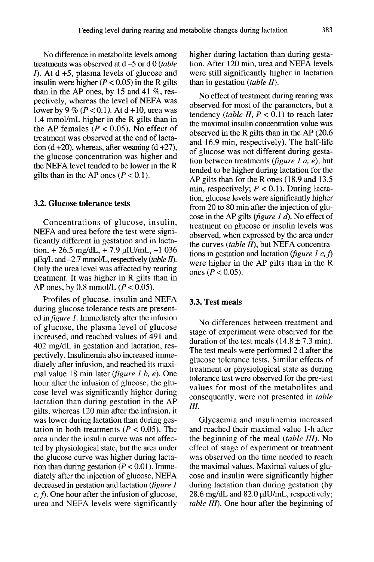No difference in metabolite levels among treatments was observed at  $d = 5$  or d 0 (table  $I$ . At d +5, plasma levels of glucose and insulin were higher ( $P < 0.05$ ) in the R gilts than in the AP ones, by 15 and 41  $\%$ , respectively, whereas the level of NEFA was lower by 9 % ( $P < 0.1$ ). At d +10, urea was 1.4 mmol/mL higher in the R gilts than in the AP females ( $P < 0.05$ ). No effect of treatment was observed at the end of lactation  $(d + 20)$ , whereas, after weaning  $(d + 27)$ , the glucose concentration was higher and the NEFA level tended to be lower in the R gilts than in the AP ones  $(P < 0.1)$ .

## 3.2. Glucose tolerance tests

Concentrations of glucose, insulin, NEFA and urea before the test were significantly different in gestation and in lactation,  $+26.5$  mg/dL,  $+7.9$  µIU/mL,  $-1$  036  $\mu$ Eq/L and -2.7 mmol/L, respectively (*table II*).<br>Only the urea level was affected by rearing treatment. It was higher in R gilts than in AP ones, by 0.8 mmol/L  $(P < 0.05)$ .

Profiles of glucose, insulin and NEFA during glucose tolerance tests are presented in *figure 1*. Immediately after the infusion of glucose, the plasma level of glucose increased, and reached values of 491 and 402 mg/dL in gestation and lactation, respectively. Insulinemia also increased immediately after infusion, and reached its maximal value 18 min later (figure 1 b, e). One hour after the infusion of glucose, the glu cose level was significantly higher during lactation than during gestation in the AP gilts, whereas 120 min after the infusion, it was lower during lactation than during gestation in both treatments ( $P < 0.05$ ). The area under the insulin curve was not affected by physiological state, but the area under the glucose curve was higher during lactation than during gestation ( $P < 0.01$ ). Immediately after the injection of glucose, NEFA decreased in gestation and lactation ( $figure 1$  c, f). One hour after the infusion of glucose, urea and NEFA levels were significantly higher during lactation than during gestation. After 120 min, urea and NEFA levels were still significantly higher in lactation than in gestation (table  $II$ ).

No effect of treatment during rearing was observed for most of the parameters, but a tendency (table II,  $P < 0.1$ ) to reach later the maximal insulin concentration value was observed in the R gilts than in the AP (20.6 and 16.9 min, respectively). The half-life of glucose was not different during gestation between treatments (figure 1  $a$ ,  $e$ ), but tended to be higher during lactation for the AP gilts than for the R ones (18.9 and 13.5 min, respectively;  $P < 0.1$ ). During lactation, glucose levels were significantly higher<br>from 20 to 80 min after the injection of glucose in the AP gilts (*figure 1 d*). No effect of treatment on glucose or insulin levels was observed, when expressed by the area under the curves (*table II*), but NEFA concentrations in gestation and lactation (*figure 1 c, f*) were higher in the AP gilts than in the  $R$ ones ( $P < 0.05$ ).

#### 3.3. Test meals

No differences between treatment and stage of experiment were observed for the duration of the test meals  $(14.8 \pm 7.3 \text{ min})$ . The test meals were performed 2 d after the glucose tolerance tests. Similar effects of treatment or physiological state as during tolerance test were observed for the pre-test values for most of the metabolites and consequently, were not presented in table III.

Glycaemia and insulinemia increased and reached their maximal value 1-h after the beginning of the meal *(table III)*. No effect of stage of experiment or treatment was observed on the time needed to reach the maximal values. Maximal values of glu cose and insulin were significantly higher during lactation than during gestation (by 28.6 mg/dL and 82.0 µIU/mL, respectively; table III). One hour after the beginning of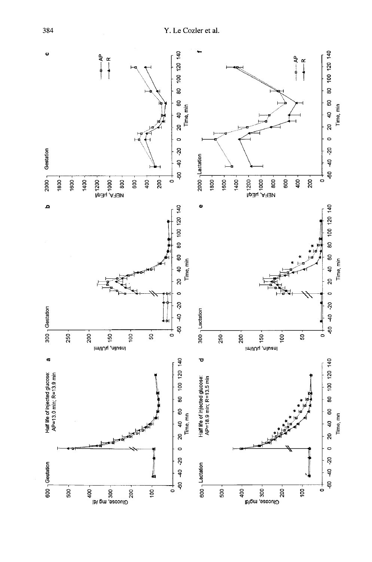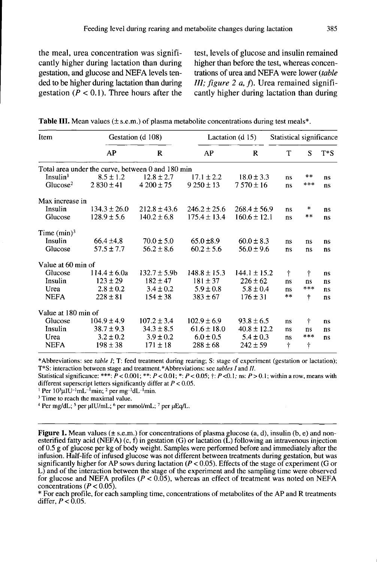the meal, urea concentration was significantly higher during lactation than during gestation, and glucose and NEFA levels tended to be higher during lactation than during gestation ( $P < 0.1$ ). Three hours after the

test, levels of glucose and insulin remained higher than before the test, whereas concentrations of urea and NEFA were lower (table III; figure 2  $a$ ,  $f$ ). Urea remained significantly higher during lactation than during

| Item                 |                                                   | Gestation (d 108) |                  | Lactation $(d 15)$ |            | Statistical significance |        |  |
|----------------------|---------------------------------------------------|-------------------|------------------|--------------------|------------|--------------------------|--------|--|
|                      | AP                                                | R                 | AP               | R                  | T          | S                        | $T^*S$ |  |
|                      | Total area under the curve, between 0 and 180 min |                   |                  |                    |            |                          |        |  |
| Insulin <sup>1</sup> | $8.5 \pm 1.2$                                     | $12.8 \pm 2.7$    | $17.1 \pm 2.2$   | $18.0 \pm 3.3$     | ns         | $**$                     | ns     |  |
| Glucose <sup>2</sup> | $2830 \pm 41$                                     | $4200 \pm 75$     | $9250 \pm 13$    | $7570 \pm 16$      | ns         | ***                      | ns     |  |
| Max increase in      |                                                   |                   |                  |                    |            |                          |        |  |
| Insulin              | $134.3 \pm 26.0$                                  | $212.8 \pm 43.6$  | $246.2 \pm 25.6$ | $268.4 \pm 56.9$   | ns         | ∗                        | ns     |  |
| Glucose              | $128.9 \pm 5.6$                                   | $140.2 \pm 6.8$   | $175.4 \pm 13.4$ | $160.6 \pm 12.1$   | ns         | **                       | ns     |  |
| Time $(min)^3$       |                                                   |                   |                  |                    |            |                          |        |  |
| Insulin              | $66.4 \pm 4.8$                                    | $70.0 \pm 5.0$    | $65.0 \pm 8.9$   | $60.0 \pm 8.3$     | ns         | ns                       | ns     |  |
| Glucose              | $57.5 \pm 7.7$                                    | $56.2 \pm 8.6$    | $60.2 \pm 5.6$   | $56.0 \pm 9.6$     | $ns$       | ns                       | ns     |  |
| Value at 60 min of   |                                                   |                   |                  |                    |            |                          |        |  |
| Glucose              | $114.4 \pm 6.0a$                                  | $132.7 \pm 5.9b$  | $148.8 \pm 15.3$ | $144.1 \pm 15.2$   | $\ddagger$ | $\dagger$                | ns     |  |
| Insulin              | $123 \pm 29$                                      | $182 \pm 47$      | $181 \pm 37$     | $226 \pm 62$       | ns         | ns                       | ns     |  |
| Urea                 | $2.8 \pm 0.2$                                     | $3.4 \pm 0.2$     | $5.9 \pm 0.8$    | $5.8 \pm 0.4$      | ns         | ***                      | ns     |  |
| <b>NEFA</b>          | $228 \pm 81$                                      | $154 \pm 38$      | $383 \pm 67$     | $176 \pm 31$       | $**$       | t                        | ns     |  |
| Value at 180 min of  |                                                   |                   |                  |                    |            |                          |        |  |
| Glucose              | $104.9 \pm 4.9$                                   | $107.2 \pm 3.4$   | $102.9 \pm 6.9$  | $93.8 \pm 6.5$     | ns         | t                        | ns     |  |
| Insulin              | $38.7 \pm 9.3$                                    | $34.3 \pm 8.5$    | $61.6 \pm 18.0$  | $40.8 \pm 12.2$    | ns         | ns                       | ns     |  |
| Urea                 | $3.2 \pm 0.2$                                     | $3.9 \pm 0.2$     | $6.0 \pm 0.5$    | $5.4 \pm 0.3$      | ns         | $***$                    | ns     |  |
| <b>NEFA</b>          | $198 \pm 38$                                      | $171 \pm 18$      | $288 \pm 68$     | $242 \pm 59$       | t          | Ť                        |        |  |

|  |  | <b>Table III.</b> Mean values $(\pm s.e.m.)$ of plasma metabolite concentrations during test meals*. |  |
|--|--|------------------------------------------------------------------------------------------------------|--|
|--|--|------------------------------------------------------------------------------------------------------|--|

\*Abbreviations: see table I; T: feed treatment during rearing; S: stage of experiment (gestation or lactation); T\*S: interaction between stage and treatment.\*Abbreviations: see tables I and II.

Statistical significance: \*\*\*:  $\tilde{P}$  < 0.001; \*\*:  $P$  < 0.01; \*:  $P$  < 0.05;  $\dagger$ :  $P$  <0.1; ns:  $P$  > 0.1; within a row, means with different superscript letters significantly differ at  $P < 0.05$ .

<sup>1</sup> Per  $10^3 \mu I \overline{U}$ <sup>-1</sup>mL<sup>-1</sup>min; <sup>2</sup> per mg<sup>-1</sup>dL<sup>-1</sup>min.

<sup>3</sup> Time to reach the maximal value.

<sup>4</sup> Per mg/dL; <sup>5</sup> per  $\mu$ IU/mL; <sup>6</sup> per mmol/mL; <sup>7</sup> per  $\mu$ Eq/L.

**Figure 1.** Mean values ( $\pm$  s.e.m.) for concentrations of plasma glucose (a, d), insulin (b, e) and nonesterified fatty acid (NEFA) (c, f) in gestation (G) or lactation ( $\tilde{L}$ ) following an intravenous injection of 0.5 g of glucose per kg of body weight. Samples were performed before and immediately after the infusion. Half-life of infused glucose was not different between treatments during gestation, but was significantly higher for AP sows during lactation ( $P < 0.05$ ). Effects of the stage of experiment (G or L) and of the interaction between the stage of the experiment and the sampling time were observed for glucose and NEFA profiles ( $P < 0.05$ ), whereas an effect of treatment was noted on NEFA concentrations ( $P < 0.05$ ).

\* For each profile, for each sampling time, concentrations of metabolites of the AP and R treatments differ,  $P < 0.05$ .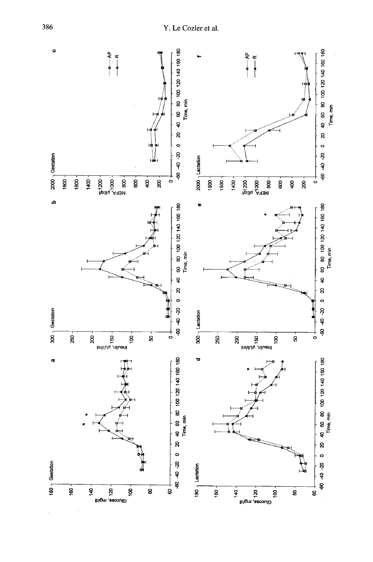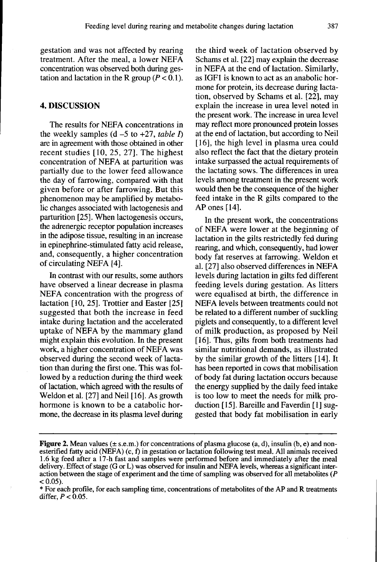gestation and was not affected by rearing treatment. After the meal, a lower NEFA concentration was observed both during gestation and lactation in the R group ( $P < 0.1$ ).

## 4. DISCUSSION

The results for NEFA concentrations in the weekly samples  $(d - 5)$  to  $+27$ , table I) are in agreement with those obtained in other recent studies [10, 25, 27]. The highest concentration of NEFA at parturition was partially due to the lower feed allowance the day of farrowing, compared with that given before or after farrowing. But this phenomenon may be amplified by metabolic changes associated with lactogenesis and parturition [25]. When lactogenesis occurs, the adrenergic receptor population increases in the adipose tissue, resulting in an increase in epinephrine-stimulated fatty acid release, and, consequently, a higher concentration of circulating NEFA [4].

In contrast with our results, some authors have observed a linear decrease in plasma NEFA concentration with the progress of lactation [10, 25]. Trottier and Easter [25] suggested that both the increase in feed intake during lactation and the accelerated uptake of NEFA by the mammary gland might explain this evolution. In the present work, a higher concentration of NEFA was observed during the second week of lactation than during the first one. This was followed by a reduction during the third week of lactation, which agreed with the results of Weldon et al. [27] and Neil [16]. As growth hormone is known to be a catabolic hormone, the decrease in its plasma level during

the third week of lactation observed by Schams et al. [22] may explain the decrease in NEFA at the end of lactation. Similarly, as IGF1 is known to act as an anabolic hormone for protein, its decrease during lactation, observed by Schams et al. [22], may explain the increase in urea level noted in the present work. The increase in urea level may reflect more pronounced protein losses at the end of lactation, but according to Neil [16], the high level in plasma urea could also reflect the fact that the dietary protein intake surpassed the actual requirements of the lactating sows. The differences in urea levels among treatment in the present work would then be the consequence of the higher feed intake in the R gilts compared to the AP ones [14].

In the present work, the concentrations of NEFA were lower at the beginning of lactation in the gilts restrictedly fed during rearing, and which, consequently, had lower body fat reserves at farrowing. Weldon et al. [27] also observed differences in NEFA levels during lactation in gilts fed different feeding levels during gestation. As litters were equalised at birth, the difference in NEFA levels between treatments could not be related to a different number of suckling piglets and consequently, to a different level of milk production, as proposed by Neil [16]. Thus, gilts from both treatments had similar nutritional demands, as illustrated by the similar growth of the litters [14]. It has been reported in cows that mobilisation of body fat during lactation occurs because the energy supplied by the daily feed intake is too low to meet the needs for milk production [15]. Bareille and Faverdin [1] suggested that body fat mobilisation in early

**Figure 2.** Mean values ( $\pm$  s.e.m.) for concentrations of plasma glucose (a, d), insulin (b, e) and nonesterified fatty acid (NEFA)  $(c, f)$  in gestation or lactation following test meal. All animals received 1.6 kg feed after a 17-h fast and samples were performed before and immediately after the meal delivery. Effect of stage (G or L) was observed for insulin and NEFA levels, whereas a significant interaction between the stage of experiment and the time of sampling was observed for all metabolities ( $P$  $< 0.05$ ).

<sup>\*</sup> For each profile, for each sampling time, concentrations of metabolites of the AP and R treatments differ,  $P < 0.05$ .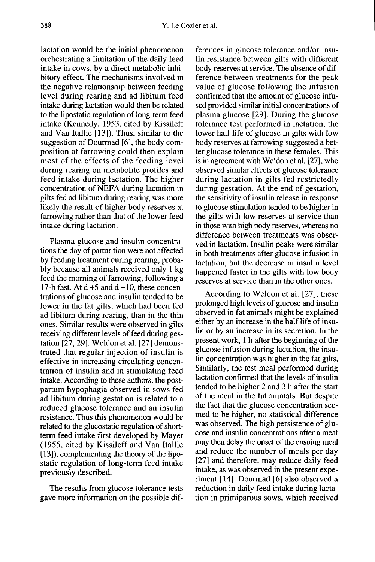lactation would be the initial phenomenon orchestrating a limitation of the daily feed intake in cows, by a direct metabolic inhibitory effect. The mechanisms involved in the negative relationship between feeding level during rearing and ad libitum feed intake during lactation would then be related to the lipostatic regulation of long-term feed intake (Kennedy, 1953, cited by Kissileff and Van Itallie [13]). Thus, similar to the suggestion of Dourmad [6], the body composition at farrowing could then explain most of the effects of the feeding level during rearing on metabolite profiles and feed intake during lactation. The higher concentration of NEFA during lactation in gilts fed ad libitum during rearing was more likely the result of higher body reserves at farrowing rather than that of the lower feed intake during lactation.

Plasma glucose and insulin concentrations the day of parturition were not affected by feeding treatment during rearing, probably because all animals received only 1 kg feed the morning of farrowing, following a 17-h fast. At  $d + 5$  and  $d + 10$ , these concentrations of glucose and insulin tended to be lower in the fat gilts, which had been fed ad libitum during rearing, than in the thin ones. Similar results were observed in gilts receiving different levels of feed during gestation [27, 29]. Weldon et al. [27] demonstrated that regular injection of insulin is effective in increasing circulating concentration of insulin and in stimulating feed intake. According to these authors, the postpartum hypophagia observed in sows fed ad libitum during gestation is related to a reduced glucose tolerance and an insulin resistance. Thus this phenomenon would be related to the glucostatic regulation of shortterm feed intake first developed by Mayer (1955, cited by Kissileff and Van Itallie [13]), complementing the theory of the lipostatic regulation of long-term feed intake previously described.

The results from glucose tolerance tests gave more information on the possible differences in glucose tolerance and/or insulin resistance between gilts with different body reserves at service. The absence of dif ference between treatments for the peak value of glucose following the infusion confirmed that the amount of glucose infused provided similar initial concentrations of plasma glucose [29]. During the glucose tolerance test performed in lactation, the lower half life of glucose in gilts with low body reserves at farrowing suggested a better glucose tolerance in these females. This is in agreement with Weldon et al. [27], who observed similar effects of glucose tolerance during lactation in gilts fed restrictedly during gestation. At the end of gestation, the sensitivity of insulin release in response to glucose stimulation tended to be higher in the gilts with low reserves at service than in those with high body reserves, whereas no difference between treatments was observed in lactation. Insulin peaks were similar in both treatments after glucose infusion in lactation, but the decrease in insulin level happened faster in the gilts with low body reserves at service than in the other ones.

According to Weldon et al. [27], these prolonged high levels of glucose and insulin observed in fat animals might be explained either by an increase in the half life of insulin or by an increase in its secretion. In the present work, 1 h after the beginning of the glucose infusion during lactation, the insulin concentration was higher in the fat gilts. Similarly, the test meal performed during lactation confirmed that the levels of insulin tended to be higher 2 and 3 h after the start of the meal in the fat animals. But despite the fact that the glucose concentration seemed to be higher, no statistical difference was observed. The high persistence of glu cose and insulin concentrations after a meal may then delay the onset of the ensuing meal and reduce the number of meals per day [27] and therefore, may reduce daily feed intake, as was observed in the present experiment [14]. Dourmad [6] also observed a reduction in daily feed intake during lactation in primiparous sows, which received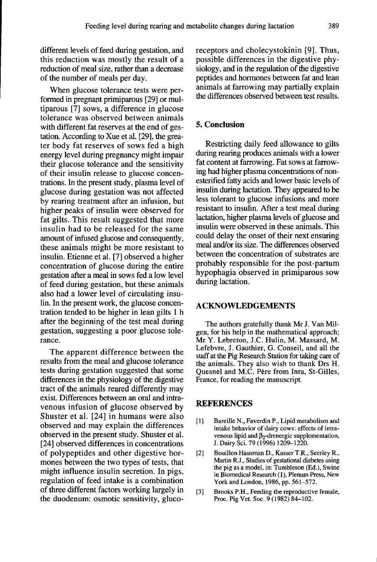different levels of feed during gestation, and this reduction was mostly the result of a reduction of meal size, rather than a decrease of the number of meals per day.

When glucose tolerance tests were performed in pregnant primiparous [29] or multiparous [7] sows, a difference in glucose tolerance was observed between animals with different fat reserves at the end of gestation. According to Xue et al. [29], the greater body fat reserves of sows fed a high energy level during pregnancy might impair their glucose tolerance and the sensitivity of their insulin release to glucose concentrations. In the present study, plasma level of glucose during gestation was not affected by rearing treatment after an infusion, but higher peaks of insulin were observed for fat gilts. This result suggested that more insulin had to be released for the same amount of infused glucose and consequently, these animals might be more resistant to insulin. Etienne et al. [7] observed a higher concentration of glucose during the entire gestation after a meal in sows fed a low level of feed during gestation, but these animals also had a lower level of circulating insulin. In the present work, the glucose concentration tended to be higher in lean gilts 1 h after the beginning of the test meal during gestation, suggesting a poor glucose tolerance.

The apparent difference between the results from the meal and glucose tolerance tests during gestation suggested that some differences in the physiology of the digestive tract of the animals reared differently may exist. Differences between an oral and intravenous infusion of glucose observed by Shuster et al. [24] in humans were also observed and may explain the differences observed in the present study. Shuster et al. [24] observed differences in concentrations of polypeptides and other digestive hormones between the two types of tests, that might influence insulin secretion. In pigs, regulation of feed intake is a combination of three different factors working largely in the duodenum: osmotic sensitivity, glucoreceptors and cholecystokinin [9]. Thus, possible differences in the digestive physiology, and in the regulation of the digestive peptides and hormones between fat and lean animals at farrowing may partially explain the differences observed between test results.

## 5. Conclusion

Restricting daily feed allowance to gilts during rearing produces animals with a lower fat content at farrowing. Fat sows at farrowing had higher plasma concentrations of nonesterified fatty acids and lower basic levels of insulin during lactation. They appeared to be less tolerant to glucose infusions and more resistant to insulin. After a test meal during lactation, higher plasma levels of glucose and insulin were observed in these animals. This could delay the onset of their next ensuring meal and/or its size. The differences observed between the concentration of substrates are probably responsible for the post-partum hypophagia observed in primiparous sow during lactation.

#### ACKNOWLEDGEMENTS

The authors gratefully thank Mr J. Van Milgen, for his help in the mathematical approach; Mr Y. Lebreton, J.C. Hulin, M. Massard, M. Lefebvre, J. Gauthier, G. Conseil, and all the staff at the Pig Research Station for taking care of the animals. They also wish to thank Drs H. Quesnel and M.C. Pere from Inra, St-Gilles, France, for reading the manuscript.

#### REFERENCES

- [11 ] Bareille N., Faverdin P., Lipid metabolism and intake behavior of dairy cows: effects of intra-<br>venous lipid and  $\beta_2$ -drenergic supplementation, **ERENCES**<br>Bareille N., Faverdin P., Lipid metabolism and<br>intake behavior of dairy cows: effects of intra-<br>venous lipid and  $\beta_2$ -drenergic supplementation,<br>J. Dairy Sci. 79 (1996) 1209-1220.
- [2] Bouillon Hausman D., Kasser T.R., Seerley R., Martin R.J., Studies of gestational diabetes using the pig as a model, in: Tumbleson (Ed.), Swine in Biomedical Research (1), Plenum Press, New York and London, 1986, pp. 561-572.
- [3] Brooks P.H., Feeding the reproductive female, Proc. Pig Vet. Soc. 9 (1982) 84-102.